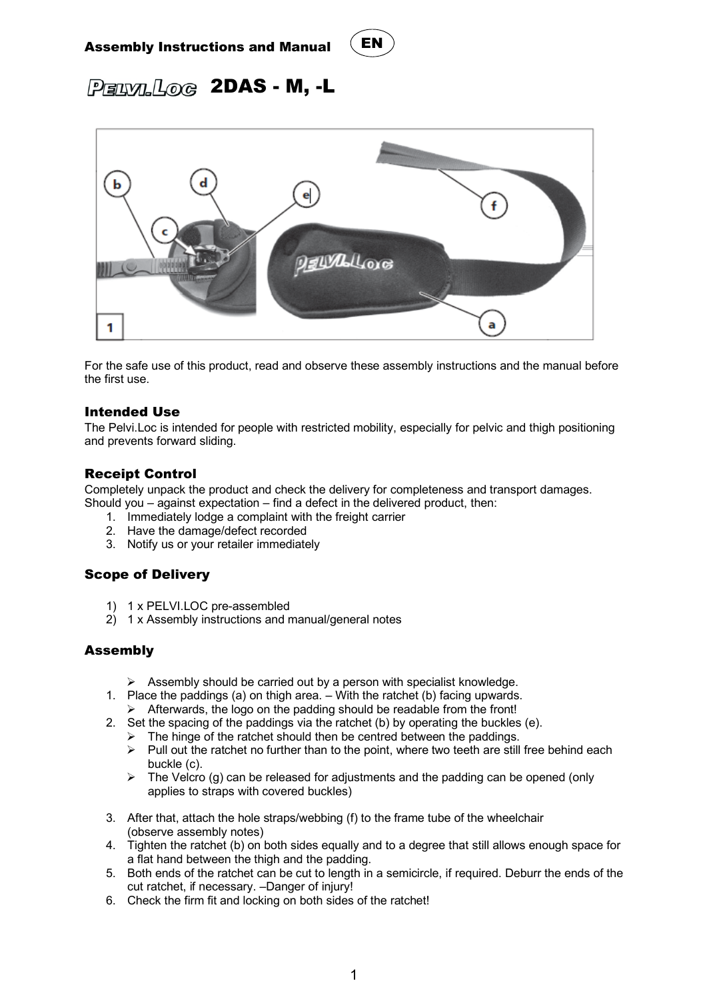# Assembly Instructions and Manual



 $P$ ELVILLOG 2DAS - M, -L



For the safe use of this product, read and observe these assembly instructions and the manual before the first use.

#### Intended Use

The Pelvi.Loc is intended for people with restricted mobility, especially for pelvic and thigh positioning and prevents forward sliding.

### Receipt Control

Completely unpack the product and check the delivery for completeness and transport damages. Should you – against expectation – find a defect in the delivered product, then:

- 1. Immediately lodge a complaint with the freight carrier
- 2. Have the damage/defect recorded
- 3. Notify us or your retailer immediately

# Scope of Delivery

- 1) 1 x PELVI.LOC pre-assembled
- 2) 1 x Assembly instructions and manual/general notes

### Assembly

- $\triangleright$  Assembly should be carried out by a person with specialist knowledge.
- 1. Place the paddings (a) on thigh area. With the ratchet (b) facing upwards.
	- $\triangleright$  Afterwards, the logo on the padding should be readable from the front!
- 2. Set the spacing of the paddings via the ratchet (b) by operating the buckles (e).
	- $\triangleright$  The hinge of the ratchet should then be centred between the paddings.
	- $\triangleright$  Pull out the ratchet no further than to the point, where two teeth are still free behind each buckle (c).
	- $\triangleright$  The Velcro (g) can be released for adjustments and the padding can be opened (only applies to straps with covered buckles)
- 3. After that, attach the hole straps/webbing (f) to the frame tube of the wheelchair (observe assembly notes)
- 4. Tighten the ratchet (b) on both sides equally and to a degree that still allows enough space for a flat hand between the thigh and the padding.
- 5. Both ends of the ratchet can be cut to length in a semicircle, if required. Deburr the ends of the cut ratchet, if necessary. –Danger of injury!
- 6. Check the firm fit and locking on both sides of the ratchet!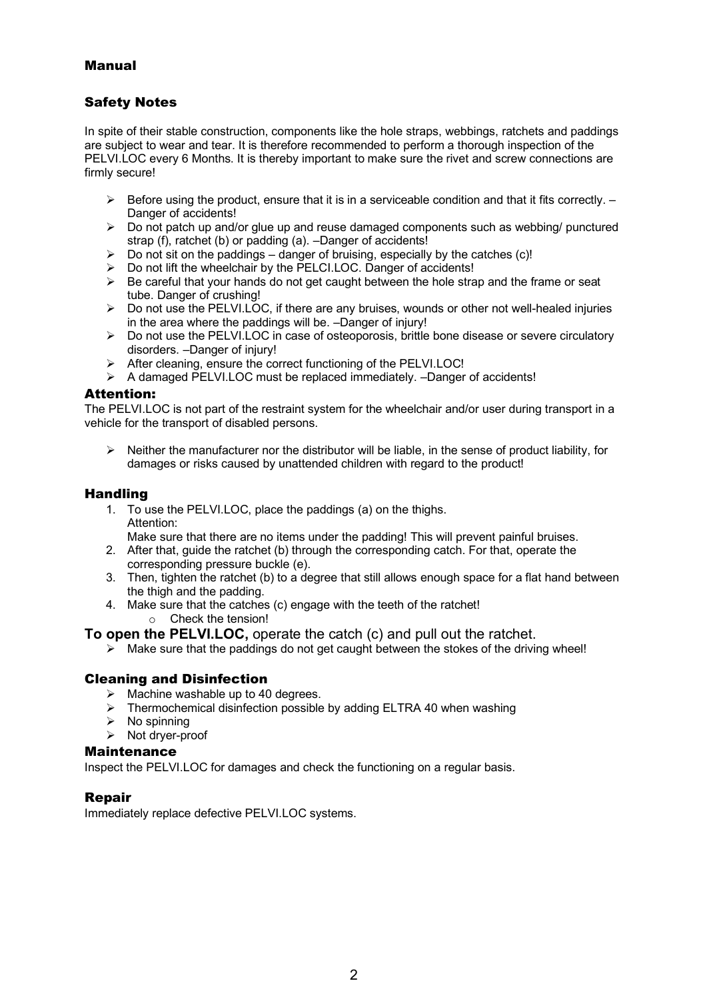# Manual

# Safety Notes

In spite of their stable construction, components like the hole straps, webbings, ratchets and paddings are subject to wear and tear. It is therefore recommended to perform a thorough inspection of the PELVI.LOC every 6 Months. It is thereby important to make sure the rivet and screw connections are firmly secure!

- $\triangleright$  Before using the product, ensure that it is in a serviceable condition and that it fits correctly.  $-$ Danger of accidents!
- $\triangleright$  Do not patch up and/or glue up and reuse damaged components such as webbing/ punctured strap (f), ratchet (b) or padding (a). –Danger of accidents!
- $\triangleright$  Do not sit on the paddings danger of bruising, especially by the catches (c)!
- Ø Do not lift the wheelchair by the PELCI.LOC. Danger of accidents!
- $\triangleright$  Be careful that your hands do not get caught between the hole strap and the frame or seat tube. Danger of crushing!
- $\triangleright$  Do not use the PELVI.LOC, if there are any bruises, wounds or other not well-healed injuries in the area where the paddings will be. –Danger of injury!
- $\triangleright$  Do not use the PELVI.LOC in case of osteoporosis, brittle bone disease or severe circulatory disorders. –Danger of injury!
- Ø After cleaning, ensure the correct functioning of the PELVI.LOC!
- $\triangleright$  A damaged PELVI.LOC must be replaced immediately. –Danger of accidents!

#### Attention:

The PELVI.LOC is not part of the restraint system for the wheelchair and/or user during transport in a vehicle for the transport of disabled persons.

 $\triangleright$  Neither the manufacturer nor the distributor will be liable, in the sense of product liability, for damages or risks caused by unattended children with regard to the product!

#### Handling

1. To use the PELVI.LOC, place the paddings (a) on the thighs. Attention:

Make sure that there are no items under the padding! This will prevent painful bruises.

- 2. After that, guide the ratchet (b) through the corresponding catch. For that, operate the corresponding pressure buckle (e).
- 3. Then, tighten the ratchet (b) to a degree that still allows enough space for a flat hand between the thigh and the padding.
- 4. Make sure that the catches (c) engage with the teeth of the ratchet! o Check the tension!

**To open the PELVI.LOC,** operate the catch (c) and pull out the ratchet.

 $\triangleright$  Make sure that the paddings do not get caught between the stokes of the driving wheel!

#### Cleaning and Disinfection

- $\triangleright$  Machine washable up to 40 degrees.
- $\triangleright$  Thermochemical disinfection possible by adding ELTRA 40 when washing
- $\triangleright$  No spinning
- $\triangleright$  Not dryer-proof

#### **Maintenance**

Inspect the PELVI.LOC for damages and check the functioning on a regular basis.

#### Repair

Immediately replace defective PELVI.LOC systems.